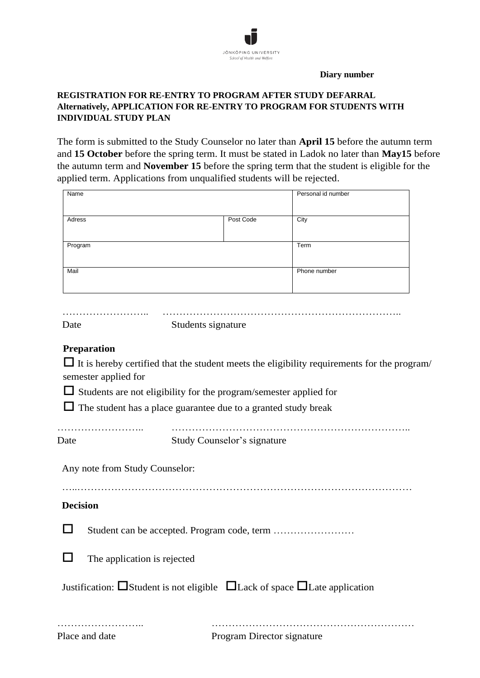

**Diary number**

## **REGISTRATION FOR RE-ENTRY TO PROGRAM AFTER STUDY DEFARRAL Alternatively, APPLICATION FOR RE-ENTRY TO PROGRAM FOR STUDENTS WITH INDIVIDUAL STUDY PLAN**

The form is submitted to the Study Counselor no later than **April 15** before the autumn term and **15 October** before the spring term. It must be stated in Ladok no later than **May15** before the autumn term and **November 15** before the spring term that the student is eligible for the applied term. Applications from unqualified students will be rejected.

| Name                                                                                                                       |                                                                                            |                             | Personal id number |  |
|----------------------------------------------------------------------------------------------------------------------------|--------------------------------------------------------------------------------------------|-----------------------------|--------------------|--|
|                                                                                                                            |                                                                                            |                             |                    |  |
| Adress                                                                                                                     |                                                                                            | Post Code                   | City               |  |
| Program                                                                                                                    |                                                                                            |                             | Term               |  |
|                                                                                                                            |                                                                                            |                             |                    |  |
| Mail                                                                                                                       |                                                                                            |                             | Phone number       |  |
|                                                                                                                            |                                                                                            |                             |                    |  |
|                                                                                                                            |                                                                                            |                             |                    |  |
| Date                                                                                                                       | Students signature                                                                         |                             |                    |  |
|                                                                                                                            |                                                                                            |                             |                    |  |
| <b>Preparation</b>                                                                                                         |                                                                                            |                             |                    |  |
| $\Box$ It is hereby certified that the student meets the eligibility requirements for the program/<br>semester applied for |                                                                                            |                             |                    |  |
|                                                                                                                            | $\Box$ Students are not eligibility for the program/semester applied for                   |                             |                    |  |
| $\Box$ The student has a place guarantee due to a granted study break                                                      |                                                                                            |                             |                    |  |
|                                                                                                                            |                                                                                            |                             |                    |  |
| Date                                                                                                                       | .                                                                                          | Study Counselor's signature |                    |  |
|                                                                                                                            |                                                                                            |                             |                    |  |
| Any note from Study Counselor:                                                                                             |                                                                                            |                             |                    |  |
|                                                                                                                            |                                                                                            |                             |                    |  |
| <b>Decision</b>                                                                                                            |                                                                                            |                             |                    |  |
|                                                                                                                            |                                                                                            |                             |                    |  |
|                                                                                                                            |                                                                                            |                             |                    |  |
| The application is rejected                                                                                                |                                                                                            |                             |                    |  |
|                                                                                                                            |                                                                                            |                             |                    |  |
|                                                                                                                            | Justification: $\Box$ Student is not eligible $\Box$ Lack of space $\Box$ Late application |                             |                    |  |
|                                                                                                                            |                                                                                            |                             |                    |  |
|                                                                                                                            |                                                                                            |                             |                    |  |
| Place and date                                                                                                             |                                                                                            | Program Director signature  |                    |  |
|                                                                                                                            |                                                                                            |                             |                    |  |